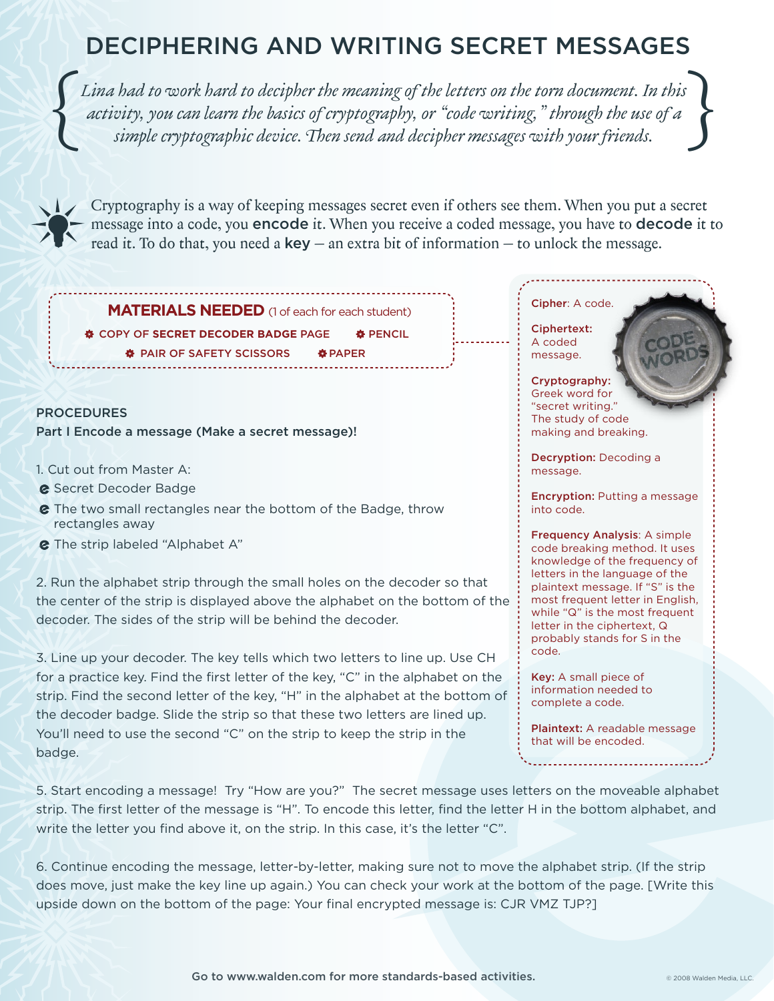## DECIPHERING AND WRITING SECRET MESSAGES

[Lina had to work hard to decipher the meaning of the letters on the torn document. In this<br>activity, you can learn the basics of cryptography, or "code writing," through the use of a<br>simple cryptographic device. Then send *Lina had to work hard to decipher the meaning of the letters on the torn document. In this activity, you can learn the basics of cryptography, or "code writing," through the use of a simple cryptographic device. Then send and decipher messages with your friends.* 



Cryptography is a way of keeping messages secret even if others see them. When you put a secret message into a code, you encode it. When you receive a coded message, you have to decode it to read it. To do that, you need a  $key -$  an extra bit of information  $-$  to unlock the message.

**MATERIALS NEEDED** (1 of each for each student)

 $\Phi$  **COPY OF SECRET DECODER BADGE PAGE**  $\Phi$  **PAIR OF SAFETY SCISSORS**  $\Phi$  **PAPER ※ PENCIL** 

PROCEDURES Part I Encode a message (Make a secret message)!

- 1. Cut out from Master A:
- **e** Secret Decoder Badge
- $\epsilon$  The two small rectangles near the bottom of the Badge, throw rectangles away
- **&** The strip labeled "Alphabet A"

2. Run the alphabet strip through the small holes on the decoder so that the center of the strip is displayed above the alphabet on the bottom of the decoder. The sides of the strip will be behind the decoder.

3. Line up your decoder. The key tells which two letters to line up. Use CH for a practice key. Find the first letter of the key, "C" in the alphabet on the strip. Find the second letter of the key, "H" in the alphabet at the bottom of the decoder badge. Slide the strip so that these two letters are lined up. You'll need to use the second "C" on the strip to keep the strip in the badge.

#### Cipher: A code.

Ciphertext: A coded message.

Cryptography: Greek word for "secret writing." The study of code making and breaking.

Decryption: Decoding a message.

**Encryption:** Putting a message into code.

Frequency Analysis: A simple code breaking method. It uses knowledge of the frequency of letters in the language of the plaintext message. If "S" is the most frequent letter in English, while "Q" is the most frequent letter in the ciphertext, Q probably stands for S in the code.

Key: A small piece of information needed to complete a code.

Plaintext: A readable message that will be encoded.

5. Start encoding a message! Try "How are you?" The secret message uses letters on the moveable alphabet strip. The first letter of the message is "H". To encode this letter, find the letter H in the bottom alphabet, and write the letter you find above it, on the strip. In this case, it's the letter "C".

6. Continue encoding the message, letter-by-letter, making sure not to move the alphabet strip. (If the strip does move, just make the key line up again.) You can check your work at the bottom of the page. [Write this upside down on the bottom of the page: Your final encrypted message is: CJR VMZ TJP?]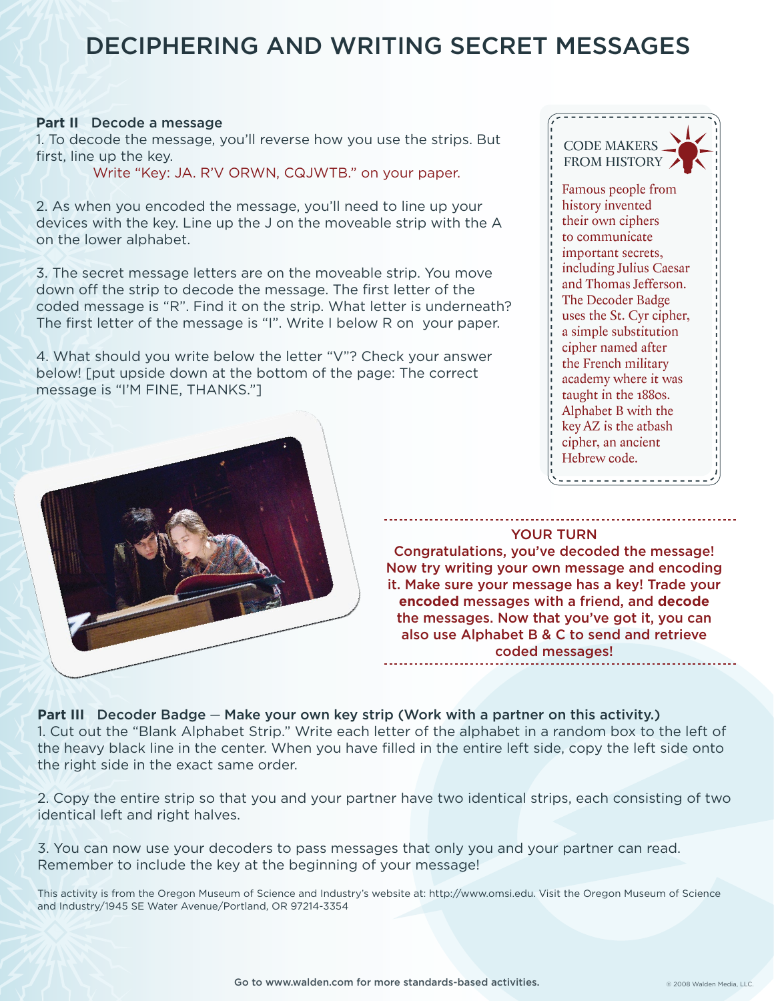### DECIPHERING AND WRITING SECRET MESSAGES

#### **Part II** Decode a message

1. To decode the message, you'll reverse how you use the strips. But first, line up the key.

Write "Key: JA. R'V ORWN, CQJWTB." on your paper.

2. As when you encoded the message, you'll need to line up your devices with the key. Line up the J on the moveable strip with the A on the lower alphabet.

3. The secret message letters are on the moveable strip. You move down off the strip to decode the message. The first letter of the coded message is "R". Find it on the strip. What letter is underneath? The first letter of the message is "I". Write I below R on your paper.

4. What should you write below the letter "V"? Check your answer below! [put upside down at the bottom of the page: The correct message is "I'M FINE, THANKS."]





Congratulations, you've decoded the message! Now try writing your own message and encoding it. Make sure your message has a key! Trade your **encoded** messages with a friend, and **decode** the messages. Now that you've got it, you can also use Alphabet B & C to send and retrieve coded messages!

Part III Decoder Badge - Make your own key strip (Work with a partner on this activity.) 1. Cut out the "Blank Alphabet Strip." Write each letter of the alphabet in a random box to the left of the heavy black line in the center. When you have filled in the entire left side, copy the left side onto the right side in the exact same order.

2. Copy the entire strip so that you and your partner have two identical strips, each consisting of two identical left and right halves.

3. You can now use your decoders to pass messages that only you and your partner can read. Remember to include the key at the beginning of your message!

This activity is from the Oregon Museum of Science and Industry's website at: http://www.omsi.edu. Visit the Oregon Museum of Science and Industry/1945 SE Water Avenue/Portland, OR 97214-3354